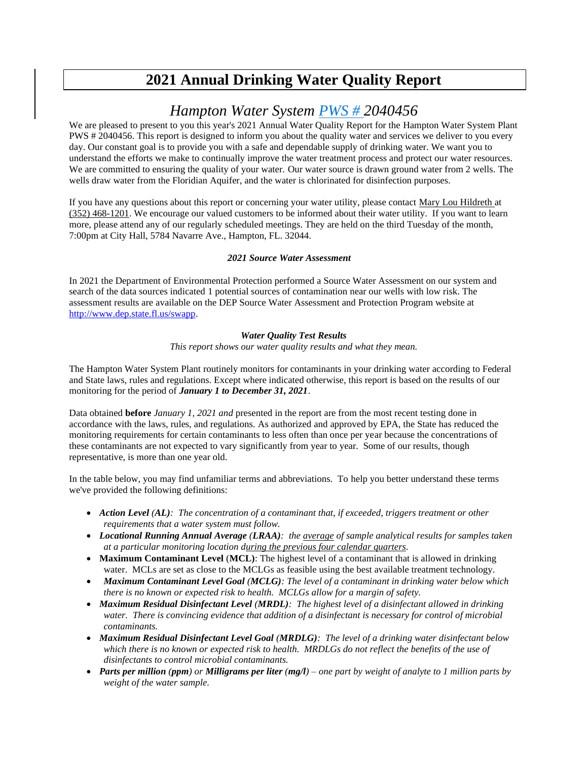# **2021 Annual Drinking Water Quality Report**

## *Hampton Water System PWS # 2040456*

We are pleased to present to you this year's 2021 Annual Water Quality Report for the Hampton Water System Plant PWS # 2040456. This report is designed to inform you about the quality water and services we deliver to you every day. Our constant goal is to provide you with a safe and dependable supply of drinking water. We want you to understand the efforts we make to continually improve the water treatment process and protect our water resources. We are committed to ensuring the quality of your water. Our water source is drawn ground water from 2 wells. The wells draw water from the Floridian Aquifer, and the water is chlorinated for disinfection purposes.

If you have any questions about this report or concerning your water utility, please contact Mary Lou Hildreth at (352) 468-1201. We encourage our valued customers to be informed about their water utility. If you want to learn more, please attend any of our regularly scheduled meetings. They are held on the third Tuesday of the month, 7:00pm at City Hall, 5784 Navarre Ave., Hampton, FL. 32044.

#### *2021 Source Water Assessment*

In 2021 the Department of Environmental Protection performed a Source Water Assessment on our system and search of the data sources indicated 1 potential sources of contamination near our wells with low risk. The assessment results are available on the DEP Source Water Assessment and Protection Program website at [http://www.dep.state.fl.us/swapp.](http://www.dep.state.fl.us/swapp%3chttp:/www.dep.state.fl.us/swapp)

#### *Water Quality Test Results*

*This report shows our water quality results and what they mean.*

The Hampton Water System Plant routinely monitors for contaminants in your drinking water according to Federal and State laws, rules and regulations. Except where indicated otherwise, this report is based on the results of our monitoring for the period of *January 1 to December 31, 2021*.

Data obtained **before** *January 1, 2021 and* presented in the report are from the most recent testing done in accordance with the laws, rules, and regulations. As authorized and approved by EPA, the State has reduced the monitoring requirements for certain contaminants to less often than once per year because the concentrations of these contaminants are not expected to vary significantly from year to year. Some of our results, though representative, is more than one year old.

In the table below, you may find unfamiliar terms and abbreviations. To help you better understand these terms we've provided the following definitions:

- *Action Level (AL): The concentration of a contaminant that, if exceeded, triggers treatment or other requirements that a water system must follow.*
- *Locational Running Annual Average (LRAA): the average of sample analytical results for samples taken at a particular monitoring location during the previous four calendar quarters.*
- **Maximum Contaminant Level** (**MCL)**: The highest level of a contaminant that is allowed in drinking water. MCLs are set as close to the MCLGs as feasible using the best available treatment technology.
- *Maximum Contaminant Level Goal (MCLG): The level of a contaminant in drinking water below which there is no known or expected risk to health. MCLGs allow for a margin of safety.*
- *Maximum Residual Disinfectant Level (MRDL): The highest level of a disinfectant allowed in drinking water. There is convincing evidence that addition of a disinfectant is necessary for control of microbial contaminants.*
- *Maximum Residual Disinfectant Level Goal (MRDLG): The level of a drinking water disinfectant below which there is no known or expected risk to health. MRDLGs do not reflect the benefits of the use of disinfectants to control microbial contaminants.*
- *Parts per million (ppm) or Milligrams per liter (mg/l) – one part by weight of analyte to 1 million parts by weight of the water sample.*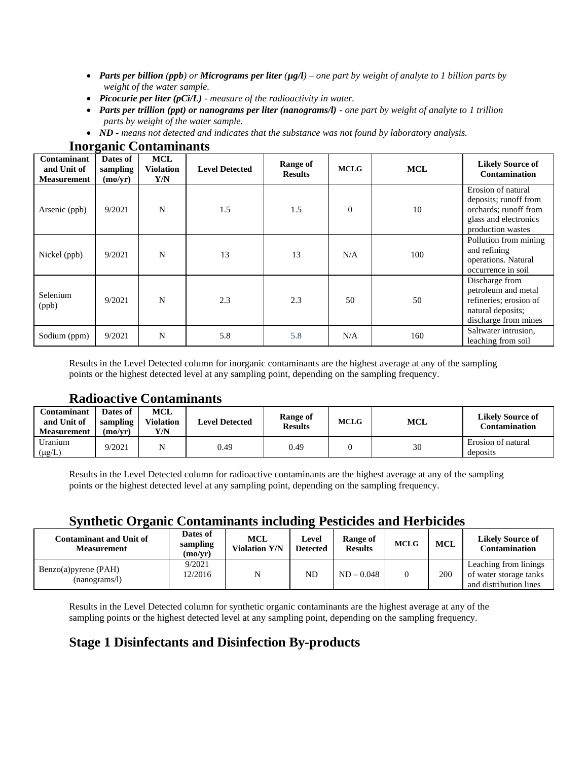- *Parts per billion (ppb) or Micrograms per liter (µg/l) – one part by weight of analyte to 1 billion parts by weight of the water sample.*
- *Picocurie per liter (pCi/L) - measure of the radioactivity in water.*
- *Parts per trillion (ppt) or nanograms per liter (nanograms/l) - one part by weight of analyte to 1 trillion parts by weight of the water sample.*
- *ND - means not detected and indicates that the substance was not found by laboratory analysis.*

| Contaminant<br>and Unit of<br><b>Measurement</b> | -<br>Dates of<br>sampling<br>(mo/yr) | <b>MCL</b><br><b>Violation</b><br>Y/N | <b>Level Detected</b> | <b>Range of</b><br><b>Results</b> | <b>MCLG</b> | <b>MCL</b> | <b>Likely Source of</b><br><b>Contamination</b>                                                                    |
|--------------------------------------------------|--------------------------------------|---------------------------------------|-----------------------|-----------------------------------|-------------|------------|--------------------------------------------------------------------------------------------------------------------|
| Arsenic (ppb)                                    | 9/2021                               | N                                     | 1.5                   | 1.5                               | $\theta$    | 10         | Erosion of natural<br>deposits; runoff from<br>orchards; runoff from<br>glass and electronics<br>production wastes |
| Nickel (ppb)                                     | 9/2021                               | N                                     | 13                    | 13                                | N/A         | 100        | Pollution from mining<br>and refining<br>operations. Natural<br>occurrence in soil                                 |
| Selenium<br>(ppb)                                | 9/2021                               | N                                     | 2.3                   | 2.3                               | 50          | 50         | Discharge from<br>petroleum and metal<br>refineries; erosion of<br>natural deposits;<br>discharge from mines       |
| Sodium (ppm)                                     | 9/2021                               | N                                     | 5.8                   | 5.8                               | N/A         | 160        | Saltwater intrusion,<br>leaching from soil                                                                         |

#### **Inorganic Contaminants**

Results in the Level Detected column for inorganic contaminants are the highest average at any of the sampling points or the highest detected level at any sampling point, depending on the sampling frequency.

#### **Radioactive Contaminants**

| Contaminant<br>and Unit of<br><b>Measurement</b> | Dates of<br>sampling<br>(mo/vr) | <b>MCL</b><br>Violation<br>Y/N | <b>Level Detected</b> | Range of<br><b>Results</b> | MCLG | <b>MCL</b> | <b>Likely Source of</b><br>Contamination |
|--------------------------------------------------|---------------------------------|--------------------------------|-----------------------|----------------------------|------|------------|------------------------------------------|
| Uranium<br>$(\mu g/L)$                           | 9/2021                          |                                | 0.49                  | 0.49                       |      | 30         | Erosion of natural<br>deposits           |

Results in the Level Detected column for radioactive contaminants are the highest average at any of the sampling points or the highest detected level at any sampling point, depending on the sampling frequency.

### **Synthetic Organic Contaminants including Pesticides and Herbicides**

| <b>Contaminant and Unit of</b><br><b>Measurement</b> | Dates of<br>sampling<br>(mo/yr) | MCL<br><b>Violation Y/N</b> | Level<br><b>Detected</b> | Range of<br><b>Results</b> | <b>MCLG</b> | <b>MCL</b> | <b>Likely Source of</b><br><b>Contamination</b>                           |
|------------------------------------------------------|---------------------------------|-----------------------------|--------------------------|----------------------------|-------------|------------|---------------------------------------------------------------------------|
| Benzo(a)pyrene (PAH)<br>(nanograms/l)                | 9/2021<br>12/2016               | N                           | ND                       | $ND - 0.048$               |             | 200        | Leaching from linings<br>of water storage tanks<br>and distribution lines |

Results in the Level Detected column for synthetic organic contaminants are the highest average at any of the sampling points or the highest detected level at any sampling point, depending on the sampling frequency.

### **Stage 1 Disinfectants and Disinfection By-products**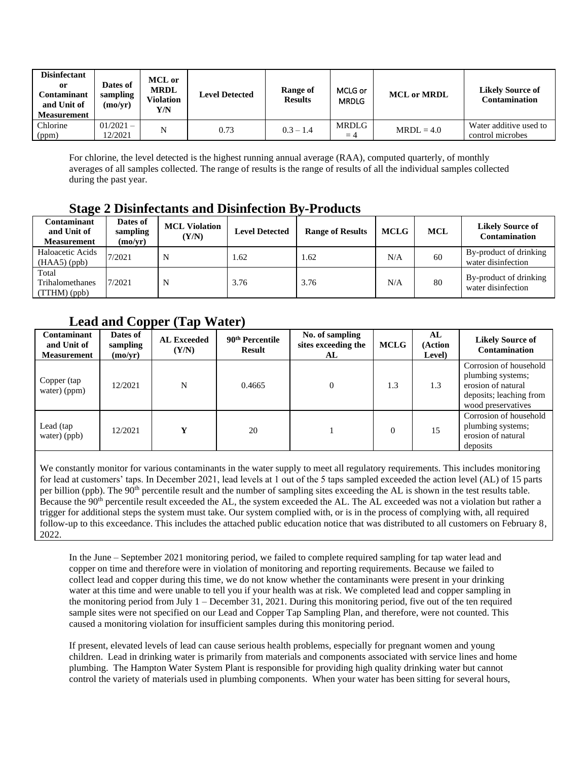| <b>Disinfectant</b><br>or<br>Contaminant<br>and Unit of<br><b>Measurement</b> | Dates of<br>sampling<br>$\rm (mo/yr)$ | <b>MCL</b> or<br><b>MRDL</b><br>Violation<br>Y/N | <b>Level Detected</b> | Range of<br><b>Results</b> | MCLG or<br><b>MRDLG</b> | <b>MCL or MRDL</b> | <b>Likely Source of</b><br><b>Contamination</b> |
|-------------------------------------------------------------------------------|---------------------------------------|--------------------------------------------------|-----------------------|----------------------------|-------------------------|--------------------|-------------------------------------------------|
| Chlorine<br>(ppm)                                                             | $01/2021 -$<br>12/2021                | N                                                | 0.73                  | $0.3 - 1.4$                | MRDLG<br>$=4$           | $MRDL = 4.0$       | Water additive used to<br>control microbes      |

For chlorine, the level detected is the highest running annual average (RAA), computed quarterly, of monthly averages of all samples collected. The range of results is the range of results of all the individual samples collected during the past year.

### **Stage 2 Disinfectants and Disinfection By-Products**

| Contaminant<br>and Unit of<br>Measurement  | Dates of<br>sampling<br>(mo/vr) | <b>MCL Violation</b><br>(Y/N) | <b>Level Detected</b> | <b>Range of Results</b> | <b>MCLG</b> | <b>MCL</b> | <b>Likely Source of</b><br><b>Contamination</b> |
|--------------------------------------------|---------------------------------|-------------------------------|-----------------------|-------------------------|-------------|------------|-------------------------------------------------|
| Haloacetic Acids<br>$(HAA5)$ (ppb)         | 7/2021                          | N                             | 1.62                  | 1.62                    | N/A         | 60         | By-product of drinking<br>water disinfection    |
| Total<br>Trihalomethanes<br>$(TTHM)$ (ppb) | 7/2021                          | N                             | 3.76                  | 3.76                    | N/A         | 80         | By-product of drinking<br>water disinfection    |

### **Lead and Copper (Tap Water)**

| Contaminant<br>and Unit of<br><b>Measurement</b> | Dates of<br>sampling<br>(mo/yr) | <b>AL Exceeded</b><br>(Y/N) | 90 <sup>th</sup> Percentile<br><b>Result</b> | No. of sampling<br>sites exceeding the<br>AL | <b>MCLG</b> | AL<br>(Action<br>Level) | <b>Likely Source of</b><br><b>Contamination</b>                                                                    |
|--------------------------------------------------|---------------------------------|-----------------------------|----------------------------------------------|----------------------------------------------|-------------|-------------------------|--------------------------------------------------------------------------------------------------------------------|
| Copper (tap<br>water) (ppm)                      | 12/2021                         | N                           | 0.4665                                       |                                              | 1.3         | 1.3                     | Corrosion of household<br>plumbing systems;<br>erosion of natural<br>deposits; leaching from<br>wood preservatives |
| Lead (tap<br>water) (ppb)                        | 12/2021                         | v                           | 20                                           |                                              | $\Omega$    | 15                      | Corrosion of household<br>plumbing systems;<br>erosion of natural<br>deposits                                      |

We constantly monitor for various contaminants in the water supply to meet all regulatory requirements. This includes monitoring for lead at customers' taps. In December 2021, lead levels at 1 out of the 5 taps sampled exceeded the action level (AL) of 15 parts per billion (ppb). The 90<sup>th</sup> percentile result and the number of sampling sites exceeding the AL is shown in the test results table. Because the 90<sup>th</sup> percentile result exceeded the AL, the system exceeded the AL. The AL exceeded was not a violation but rather a trigger for additional steps the system must take. Our system complied with, or is in the process of complying with, all required follow-up to this exceedance. This includes the attached public education notice that was distributed to all customers on February 8, 2022.

In the June – September 2021 monitoring period, we failed to complete required sampling for tap water lead and copper on time and therefore were in violation of monitoring and reporting requirements. Because we failed to collect lead and copper during this time, we do not know whether the contaminants were present in your drinking water at this time and were unable to tell you if your health was at risk. We completed lead and copper sampling in the monitoring period from July 1 – December 31, 2021. During this monitoring period, five out of the ten required sample sites were not specified on our Lead and Copper Tap Sampling Plan, and therefore, were not counted. This caused a monitoring violation for insufficient samples during this monitoring period.

If present, elevated levels of lead can cause serious health problems, especially for pregnant women and young children. Lead in drinking water is primarily from materials and components associated with service lines and home plumbing. The Hampton Water System Plant is responsible for providing high quality drinking water but cannot control the variety of materials used in plumbing components. When your water has been sitting for several hours,